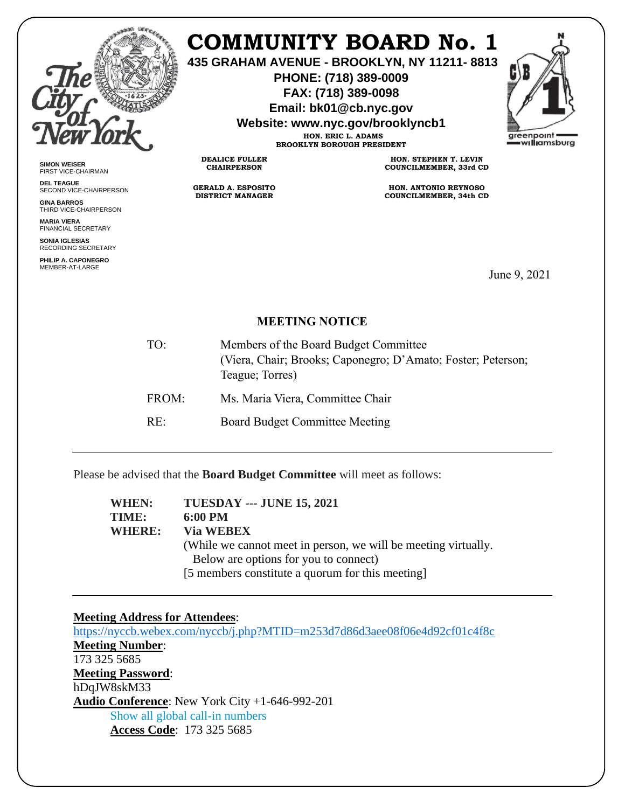

## **COMMUNITY BOARD No. 1**

**435 GRAHAM AVENUE - BROOKLYN, NY 11211- 8813**

**PHONE: (718) 389-0009 FAX: (718) 389-0098**

**Email: bk01@cb.nyc.gov**

**Website: www.nyc.gov/brooklyncb1**

**HON. ERIC L. ADAMS BROOKLYN BOROUGH PRESIDENT**

**DEALICE FULLER CHAIRPERSON**

**GERALD A. ESPOSITO DISTRICT MANAGER**

**HON. STEPHEN T. LEVIN COUNCILMEMBER, 33rd CD**

**HON. ANTONIO REYNOSO COUNCILMEMBER, 34th CD**

June 9, 2021

## **MEETING NOTICE**

| TO:   | Members of the Board Budget Committee<br>(Viera, Chair; Brooks; Caponegro; D'Amato; Foster; Peterson;<br>Teague; Torres) |
|-------|--------------------------------------------------------------------------------------------------------------------------|
| FROM: | Ms. Maria Viera, Committee Chair                                                                                         |
| RE:   | Board Budget Committee Meeting                                                                                           |

Please be advised that the **Board Budget Committee** will meet as follows:

**WHEN: TUESDAY --- JUNE 15, 2021 TIME: 6:00 PM WHERE: Via WEBEX**  (While we cannot meet in person, we will be meeting virtually. Below are options for you to connect) [5 members constitute a quorum for this meeting]

## **Meeting Address for Attendees**:

<https://nyccb.webex.com/nyccb/j.php?MTID=m253d7d86d3aee08f06e4d92cf01c4f8c> **Meeting Number**: 173 325 5685 **Meeting Password**: hDqJW8skM33 **Audio Conference**: New York City +1-646-992-201 Show all global call-in numbers **Access Code**: 173 325 5685



FIRST VICE-CHAIRMAN **DEL TEAGUE** SECOND VICE-CHAIRPERSON

**SIMON WEISER**

**GINA BARROS** THIRD VICE-CHAIRPERSON

**MARIA VIERA** FINANCIAL SECRETARY

**SONIA IGLESIAS** RECORDING SECRETARY

**PHILIP A. CAPONEGRO** MEMBER-AT-LARGE